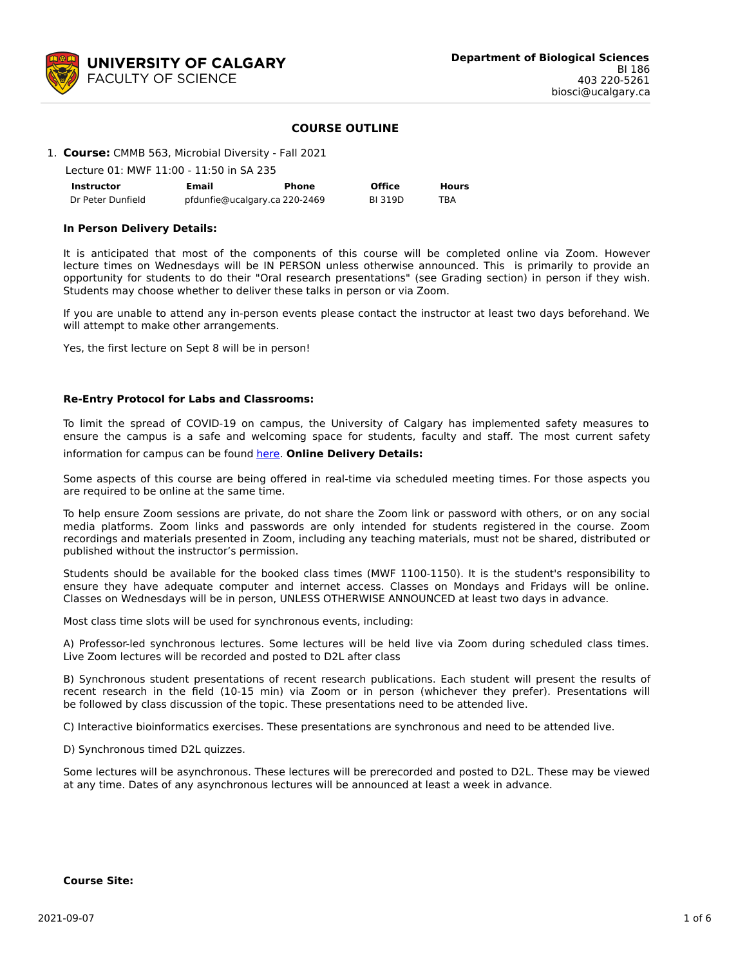

### **COURSE OUTLINE**

#### 1. **Course:** CMMB 563, Microbial Diversity - Fall 2021

Lecture 01: MWF 11:00 - 11:50 in SA 235

| <b>Instructor</b> | Email                         | Phone | <b>Office</b> | <b>Hours</b> |
|-------------------|-------------------------------|-------|---------------|--------------|
| Dr Peter Dunfield | pfdunfie@ucalgary.ca 220-2469 |       | <b>BI319D</b> | TBA          |

#### **In Person Delivery Details:**

It is anticipated that most of the components of this course will be completed online via Zoom. However lecture times on Wednesdays will be IN PERSON unless otherwise announced. This is primarily to provide an opportunity for students to do their "Oral research presentations" (see Grading section) in person if they wish. Students may choose whether to deliver these talks in person or via Zoom.

If you are unable to attend any in-person events please contact the instructor at least two days beforehand. We will attempt to make other arrangements.

Yes, the first lecture on Sept 8 will be in person!

#### **Re-Entry Protocol for Labs and Classrooms:**

To limit the spread of COVID-19 on campus, the University of Calgary has implemented safety measures to ensure the campus is a safe and welcoming space for students, faculty and staff. The most current safety

information for campus can be found [here](https://www.ucalgary.ca/risk/emergency-management/covid-19-response/return-campus-safety). **Online Delivery Details:**

Some aspects of this course are being offered in real-time via scheduled meeting times. For those aspects you are required to be online at the same time.

To help ensure Zoom sessions are private, do not share the Zoom link or password with others, or on any social media platforms. Zoom links and passwords are only intended for students registered in the course. Zoom recordings and materials presented in Zoom, including any teaching materials, must not be shared, distributed or published without the instructor's permission.

Students should be available for the booked class times (MWF 1100-1150). It is the student's responsibility to ensure they have adequate computer and internet access. Classes on Mondays and Fridays will be online. Classes on Wednesdays will be in person, UNLESS OTHERWISE ANNOUNCED at least two days in advance.

Most class time slots will be used for synchronous events, including:

A) Professor-led synchronous lectures. Some lectures will be held live via Zoom during scheduled class times. Live Zoom lectures will be recorded and posted to D2L after class

B) Synchronous student presentations of recent research publications. Each student will present the results of recent research in the field (10-15 min) via Zoom or in person (whichever they prefer). Presentations will be followed by class discussion of the topic. These presentations need to be attended live.

C) Interactive bioinformatics exercises. These presentations are synchronous and need to be attended live.

D) Synchronous timed D2L quizzes.

Some lectures will be asynchronous. These lectures will be prerecorded and posted to D2L. These may be viewed at any time. Dates of any asynchronous lectures will be announced at least a week in advance.

#### **Course Site:**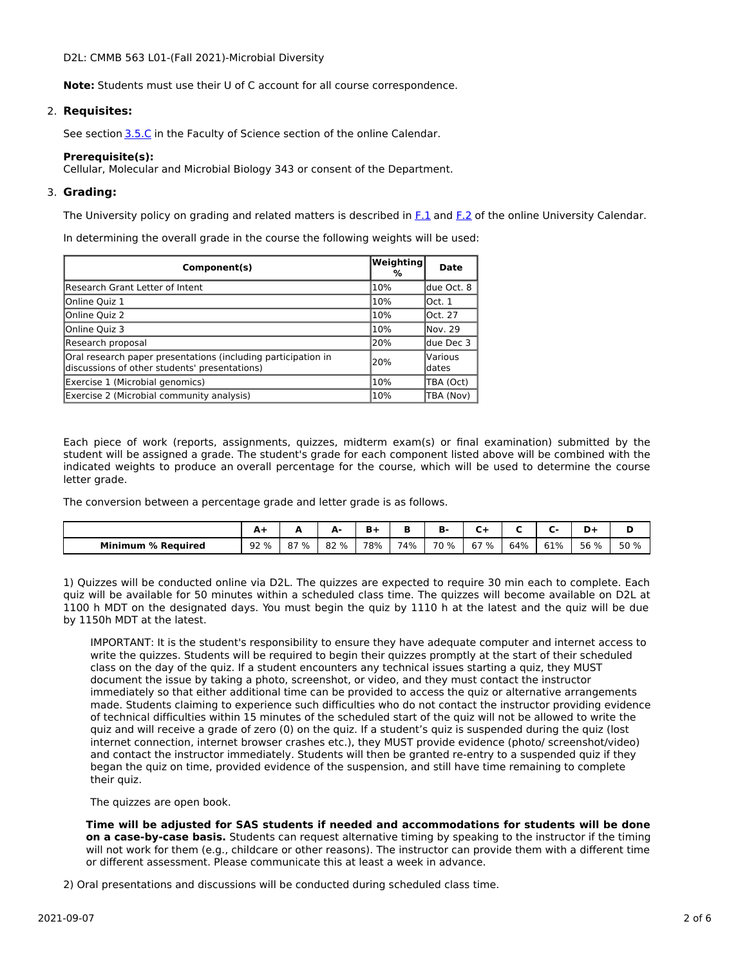D2L: CMMB 563 L01-(Fall 2021)-Microbial Diversity

**Note:** Students must use their U of C account for all course correspondence.

## 2. **Requisites:**

See section [3.5.C](http://www.ucalgary.ca/pubs/calendar/current/sc-3-5.html) in the Faculty of Science section of the online Calendar.

### **Prerequisite(s):**

Cellular, Molecular and Microbial Biology 343 or consent of the Department.

## 3. **Grading:**

The University policy on grading and related matters is described in [F.1](http://www.ucalgary.ca/pubs/calendar/current/f-1.html) and [F.2](http://www.ucalgary.ca/pubs/calendar/current/f-2.html) of the online University Calendar.

In determining the overall grade in the course the following weights will be used:

| Component(s)                                                                                                   | Weighting <br>% | Date               |
|----------------------------------------------------------------------------------------------------------------|-----------------|--------------------|
| Research Grant Letter of Intent                                                                                | 10%             | ldue Oct. 8        |
| Online Quiz 1                                                                                                  | 10%             | lOct. 1            |
| Online Quiz 2                                                                                                  | 10%             | lOct. 27           |
| Online Quiz 3                                                                                                  | 10%             | lNov. 29           |
| Research proposal                                                                                              | 20%             | ldue Dec 3         |
| Oral research paper presentations (including participation in<br>discussions of other students' presentations) | 20%             | lVarious<br>ldates |
| Exercise 1 (Microbial genomics)                                                                                | 10%             | TBA (Oct)          |
| Exercise 2 (Microbial community analysis)                                                                      | 10%             | TBA (Nov)          |

Each piece of work (reports, assignments, quizzes, midterm exam(s) or final examination) submitted by the student will be assigned a grade. The student's grade for each component listed above will be combined with the indicated weights to produce an overall percentage for the course, which will be used to determine the course letter grade.

The conversion between a percentage grade and letter grade is as follows.

|                           | --   |              | Δ.<br>- | в.  |     | п.   |      |     |     |      |      |
|---------------------------|------|--------------|---------|-----|-----|------|------|-----|-----|------|------|
| <b>Minimum % Required</b> | 92 % | <u>ዓ7 % </u> | 82 %    | 78% | 74% | 70 % | 67 % | 64% | 61% | 56 % | 50 % |

1) Quizzes will be conducted online via D2L. The quizzes are expected to require 30 min each to complete. Each quiz will be available for 50 minutes within a scheduled class time. The quizzes will become available on D2L at 1100 h MDT on the designated days. You must begin the quiz by 1110 h at the latest and the quiz will be due by 1150h MDT at the latest.

IMPORTANT: It is the student's responsibility to ensure they have adequate computer and internet access to write the quizzes. Students will be required to begin their quizzes promptly at the start of their scheduled class on the day of the quiz. If a student encounters any technical issues starting a quiz, they MUST document the issue by taking a photo, screenshot, or video, and they must contact the instructor immediately so that either additional time can be provided to access the quiz or alternative arrangements made. Students claiming to experience such difficulties who do not contact the instructor providing evidence of technical difficulties within 15 minutes of the scheduled start of the quiz will not be allowed to write the quiz and will receive a grade of zero (0) on the quiz. If a student's quiz is suspended during the quiz (lost internet connection, internet browser crashes etc.), they MUST provide evidence (photo/ screenshot/video) and contact the instructor immediately. Students will then be granted re-entry to a suspended quiz if they began the quiz on time, provided evidence of the suspension, and still have time remaining to complete their quiz.

The quizzes are open book.

**Time will be adjusted for SAS students if needed and accommodations for students will be done on a case-by-case basis.** Students can request alternative timing by speaking to the instructor if the timing will not work for them (e.g., childcare or other reasons). The instructor can provide them with a different time or different assessment. Please communicate this at least a week in advance.

2) Oral presentations and discussions will be conducted during scheduled class time.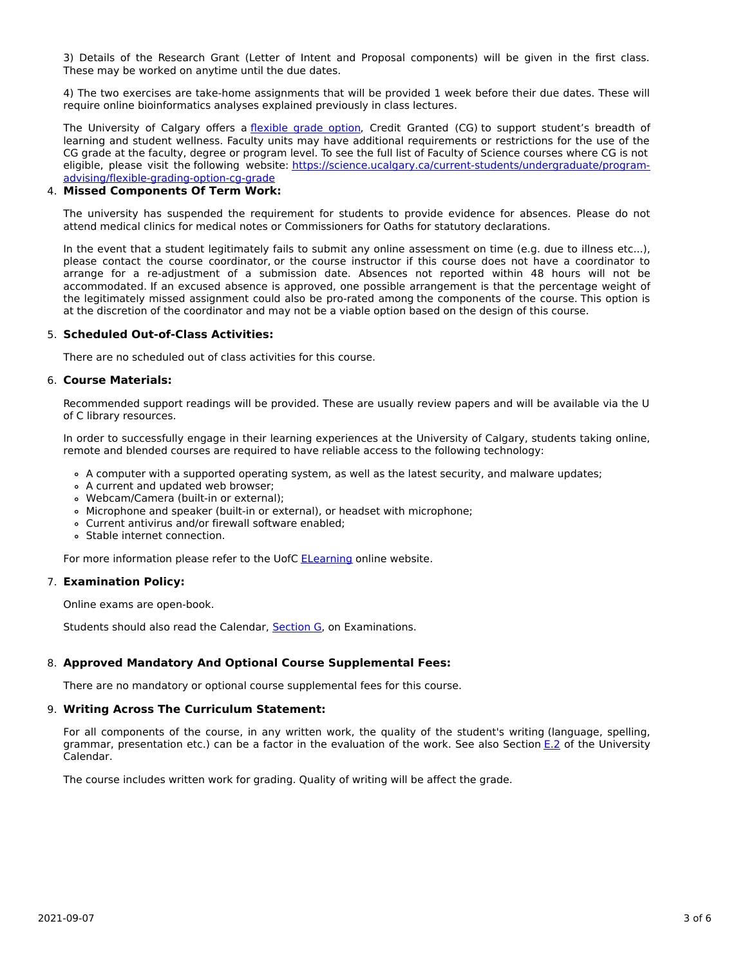3) Details of the Research Grant (Letter of Intent and Proposal components) will be given in the first class. These may be worked on anytime until the due dates.

4) The two exercises are take-home assignments that will be provided 1 week before their due dates. These will require online bioinformatics analyses explained previously in class lectures.

The University of Calgary offers a *[flexible](https://www.ucalgary.ca/pubs/calendar/current/f-1-3.html) grade option*, Credit Granted (CG) to support student's breadth of learning and student wellness. Faculty units may have additional requirements or restrictions for the use of the CG grade at the faculty, degree or program level. To see the full list of Faculty of Science courses where CG is not eligible, please visit the following website: [https://science.ucalgary.ca/current-students/undergraduate/program](https://science.ucalgary.ca/current-students/undergraduate/program-advising/flexible-grading-option-cg-grade)advising/flexible-grading-option-cg-grade

### 4. **Missed Components Of Term Work:**

The university has suspended the requirement for students to provide evidence for absences. Please do not attend medical clinics for medical notes or Commissioners for Oaths for statutory declarations.

In the event that a student legitimately fails to submit any online assessment on time (e.g. due to illness etc...), please contact the course coordinator, or the course instructor if this course does not have a coordinator to arrange for a re-adjustment of a submission date. Absences not reported within 48 hours will not be accommodated. If an excused absence is approved, one possible arrangement is that the percentage weight of the legitimately missed assignment could also be pro-rated among the components of the course. This option is at the discretion of the coordinator and may not be a viable option based on the design of this course.

#### 5. **Scheduled Out-of-Class Activities:**

There are no scheduled out of class activities for this course.

#### 6. **Course Materials:**

Recommended support readings will be provided. These are usually review papers and will be available via the U of C library resources.

In order to successfully engage in their learning experiences at the University of Calgary, students taking online, remote and blended courses are required to have reliable access to the following technology:

- A computer with a supported operating system, as well as the latest security, and malware updates;
- A current and updated web browser;
- Webcam/Camera (built-in or external);
- Microphone and speaker (built-in or external), or headset with microphone;
- Current antivirus and/or firewall software enabled;
- Stable internet connection.

For more information please refer to the UofC **[ELearning](https://elearn.ucalgary.ca/technology-requirements-for-students)** online website.

#### 7. **Examination Policy:**

Online exams are open-book.

Students should also read the Calendar, [Section](http://www.ucalgary.ca/pubs/calendar/current/g.html) G, on Examinations.

## 8. **Approved Mandatory And Optional Course Supplemental Fees:**

There are no mandatory or optional course supplemental fees for this course.

#### 9. **Writing Across The Curriculum Statement:**

For all components of the course, in any written work, the quality of the student's writing (language, spelling, grammar, presentation etc.) can be a factor in the evaluation of the work. See also Section [E.2](http://www.ucalgary.ca/pubs/calendar/current/e-2.html) of the University Calendar.

The course includes written work for grading. Quality of writing will be affect the grade.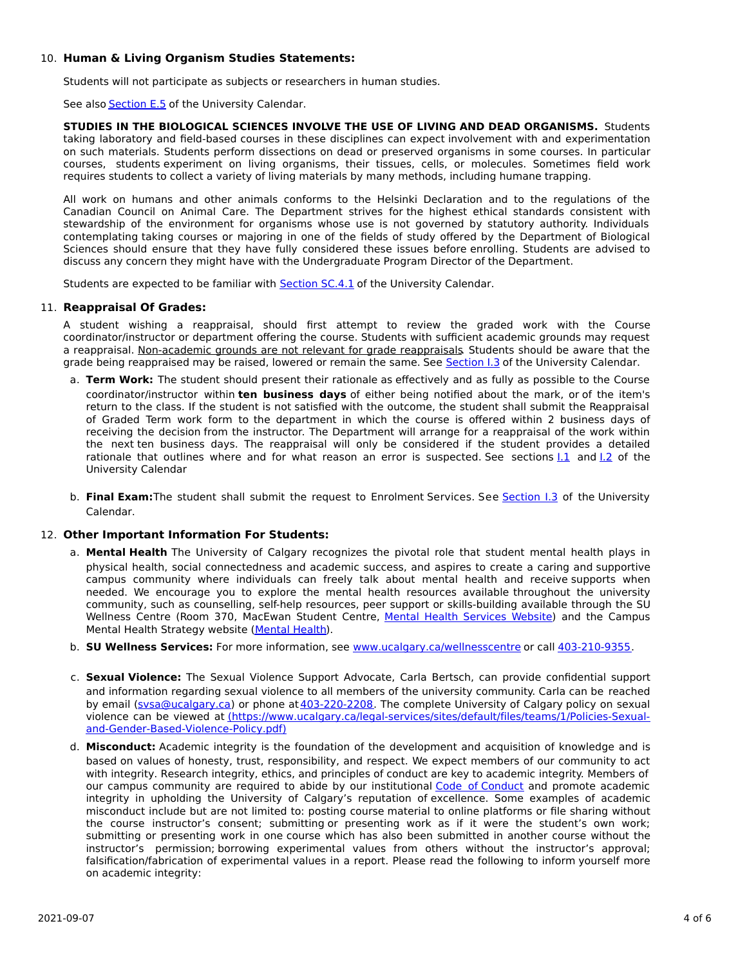# 10. **Human & Living Organism Studies Statements:**

Students will not participate as subjects or researchers in human studies.

See also **[Section](http://www.ucalgary.ca/pubs/calendar/current/e-5.html) E.5** of the University Calendar.

**STUDIES IN THE BIOLOGICAL SCIENCES INVOLVE THE USE OF LIVING AND DEAD ORGANISMS.** Students taking laboratory and field-based courses in these disciplines can expect involvement with and experimentation on such materials. Students perform dissections on dead or preserved organisms in some courses. In particular courses, students experiment on living organisms, their tissues, cells, or molecules. Sometimes field work requires students to collect a variety of living materials by many methods, including humane trapping.

All work on humans and other animals conforms to the Helsinki Declaration and to the regulations of the Canadian Council on Animal Care. The Department strives for the highest ethical standards consistent with stewardship of the environment for organisms whose use is not governed by statutory authority. Individuals contemplating taking courses or majoring in one of the fields of study offered by the Department of Biological Sciences should ensure that they have fully considered these issues before enrolling. Students are advised to discuss any concern they might have with the Undergraduate Program Director of the Department.

Students are expected to be familiar with **[Section](http://www.ucalgary.ca/pubs/calendar/current/sc-4-1.html) SC.4.1** of the University Calendar.

## 11. **Reappraisal Of Grades:**

A student wishing a reappraisal, should first attempt to review the graded work with the Course coordinator/instructor or department offering the course. Students with sufficient academic grounds may request a reappraisal. Non-academic grounds are not relevant for grade reappraisals. Students should be aware that the grade being reappraised may be raised, lowered or remain the same. See [Section](http://www.ucalgary.ca/pubs/calendar/current/i-3.html) I.3 of the University Calendar.

- a. **Term Work:** The student should present their rationale as effectively and as fully as possible to the Course coordinator/instructor within **ten business days** of either being notified about the mark, or of the item's return to the class. If the student is not satisfied with the outcome, the student shall submit the Reappraisal of Graded Term work form to the department in which the course is offered within 2 business days of receiving the decision from the instructor. The Department will arrange for a reappraisal of the work within the next ten business days. The reappraisal will only be considered if the student provides a detailed rationale that outlines where and for what reason an error is suspected. See sections  $1.1$  and  $1.2$  of the University Calendar
- b. **Final Exam:**The student shall submit the request to Enrolment Services. See [Section](http://www.ucalgary.ca/pubs/calendar/current/i-3.html) I.3 of the University Calendar.

## 12. **Other Important Information For Students:**

- a. **Mental Health** The University of Calgary recognizes the pivotal role that student mental health plays in physical health, social connectedness and academic success, and aspires to create a caring and supportive campus community where individuals can freely talk about mental health and receive supports when needed. We encourage you to explore the mental health resources available throughout the university community, such as counselling, self-help resources, peer support or skills-building available through the SU Wellness Centre (Room 370, MacEwan Student Centre, Mental Health [Services](https://www.ucalgary.ca/wellnesscentre/services/mental-health-services) Website) and the Campus Mental Health Strategy website [\(Mental](http://www.ucalgary.ca/mentalhealth) Health).
- b. **SU Wellness Services:** For more information, see [www.ucalgary.ca/wellnesscentre](http://www.ucalgary.ca/wellnesscentre) or call [403-210-9355.](tel:4032109355)
- c. **Sexual Violence:** The Sexual Violence Support Advocate, Carla Bertsch, can provide confidential support and information regarding sexual violence to all members of the university community. Carla can be reached by email [\(svsa@ucalgary.ca](mailto:svsa@ucalgary.ca)) or phone at [403-220-2208](tel:4032202208). The complete University of Calgary policy on sexual violence can be viewed at [\(https://www.ucalgary.ca/legal-services/sites/default/files/teams/1/Policies-Sexual](https://www.ucalgary.ca/legal-services/sites/default/files/teams/1/Policies-Sexual-and-Gender-Based-Violence-Policy.pdf)and-Gender-Based-Violence-Policy.pdf)
- d. **Misconduct:** Academic integrity is the foundation of the development and acquisition of knowledge and is based on values of honesty, trust, responsibility, and respect. We expect members of our community to act with integrity. Research integrity, ethics, and principles of conduct are key to academic integrity. Members of our campus community are required to abide by our institutional Code of [Conduct](https://www.ucalgary.ca/legal-services/sites/default/files/teams/1/Policies-Code-of-Conduct.pdf) and promote academic integrity in upholding the University of Calgary's reputation of excellence. Some examples of academic misconduct include but are not limited to: posting course material to online platforms or file sharing without the course instructor's consent; submitting or presenting work as if it were the student's own work; submitting or presenting work in one course which has also been submitted in another course without the instructor's permission; borrowing experimental values from others without the instructor's approval; falsification/fabrication of experimental values in a report. Please read the following to inform yourself more on academic integrity: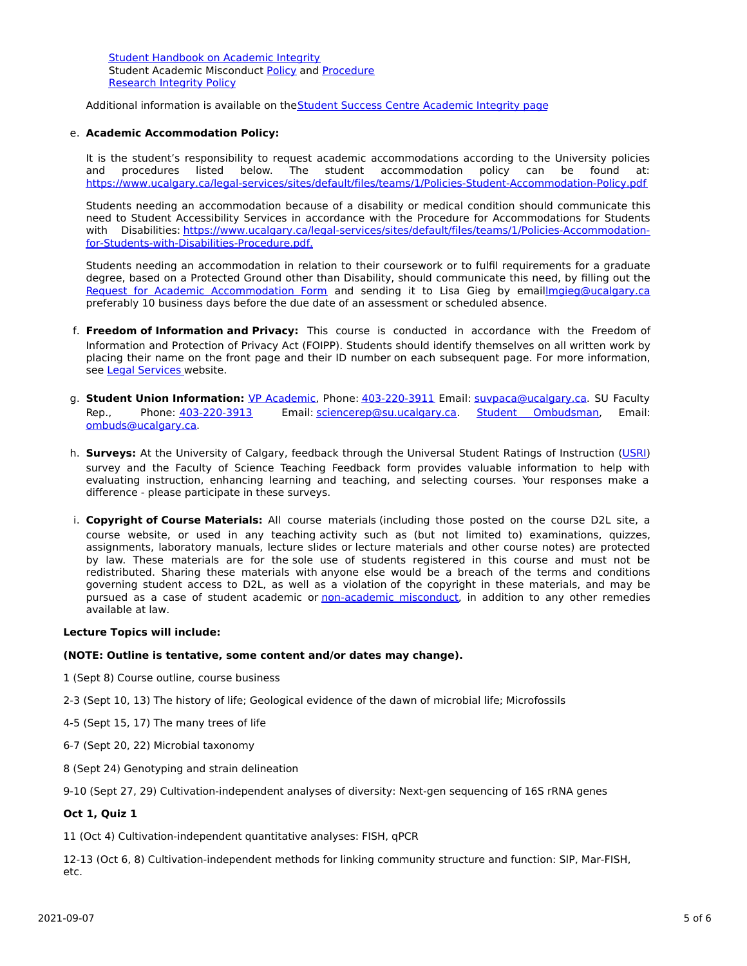Student [Handbook](https://www.ucalgary.ca/live-uc-ucalgary-site/sites/default/files/teams/9/AI-Student-handbook-1.pdf) on Academic Integrity Student Academic Misconduct [Policy](https://www.ucalgary.ca/legal-services/sites/default/files/teams/1/Policies-Student-Academic-Misconduct-Policy.pdf) and [Procedure](https://www.ucalgary.ca/legal-services/sites/default/files/teams/1/Policies-Student-Academic-Misconduct-Procedure.pdf) [Research](https://www.ucalgary.ca/legal-services/sites/default/files/teams/1/Policies-Research-Integrity-Policy.pdf) Integrity Policy

Additional information is available on theStudent Success Centre [Academic](https://ucalgary.ca/student-services/student-success/learning/academic-integrity) Integrity page

## e. **Academic Accommodation Policy:**

It is the student's responsibility to request academic accommodations according to the University policies and procedures listed below. The student accommodation policy can be found at: <https://www.ucalgary.ca/legal-services/sites/default/files/teams/1/Policies-Student-Accommodation-Policy.pdf>

Students needing an accommodation because of a disability or medical condition should communicate this need to Student Accessibility Services in accordance with the Procedure for Accommodations for Students with Disabilities: [https://www.ucalgary.ca/legal-services/sites/default/files/teams/1/Policies-Accommodation](https://www.ucalgary.ca/legal-services/sites/default/files/teams/1/Policies-Accommodation-for-Students-with-Disabilities-Procedure.pdf)for-Students-with-Disabilities-Procedure.pdf.

Students needing an accommodation in relation to their coursework or to fulfil requirements for a graduate degree, based on a Protected Ground other than Disability, should communicate this need, by filling out the Request for Academic [Accommodation](https://science.ucalgary.ca/sites/default/files/teams/1/request-accommodation-academic-courses.pdf) Form and sending it to Lisa Gieg by emai[llmgieg@ucalgary.ca](mailto:lmgieg@ucalgary.ca) preferably 10 business days before the due date of an assessment or scheduled absence.

- f. **Freedom of Information and Privacy:** This course is conducted in accordance with the Freedom of Information and Protection of Privacy Act (FOIPP). Students should identify themselves on all written work by placing their name on the front page and their ID number on each subsequent page. For more information, see Legal [Services](https://www.ucalgary.ca/legal-services/access-information-privacy) website.
- g. **Student Union Information:** VP [Academic](http://www.su.ucalgary.ca/contact), Phone: [403-220-3911](tel:4032203911) Email: [suvpaca@ucalgary.ca](mailto:suvpaca@ucalgary.ca). SU Faculty Rep., Phone: [403-220-3913](tel:4032203913) Email: [sciencerep@su.ucalgary.ca](mailto:sciencerep@su.ucalgary.ca). Student [Ombudsman](https://www.ucalgary.ca/ombuds/), Email: [ombuds@ucalgary.ca](mailto:%20ombuds@ucalgary.ca).
- h. **Surveys:** At the University of Calgary, feedback through the Universal Student Ratings of Instruction [\(USRI](http://www.ucalgary.ca/usri)) survey and the Faculty of Science Teaching Feedback form provides valuable information to help with evaluating instruction, enhancing learning and teaching, and selecting courses. Your responses make a difference - please participate in these surveys.
- i. **Copyright of Course Materials:** All course materials (including those posted on the course D2L site, a course website, or used in any teaching activity such as (but not limited to) examinations, quizzes, assignments, laboratory manuals, lecture slides or lecture materials and other course notes) are protected by law. These materials are for the sole use of students registered in this course and must not be redistributed. Sharing these materials with anyone else would be a breach of the terms and conditions governing student access to D2L, as well as a violation of the copyright in these materials, and may be pursued as a case of student academic or [non-academic](https://www.ucalgary.ca/conduct/policy/non-academic-misconduct-policy) misconduct, in addition to any other remedies available at law.

#### **Lecture Topics will include:**

#### **(NOTE: Outline is tentative, some content and/or dates may change).**

- 1 (Sept 8) Course outline, course business
- 2-3 (Sept 10, 13) The history of life; Geological evidence of the dawn of microbial life; Microfossils
- 4-5 (Sept 15, 17) The many trees of life
- 6-7 (Sept 20, 22) Microbial taxonomy
- 8 (Sept 24) Genotyping and strain delineation

9-10 (Sept 27, 29) Cultivation-independent analyses of diversity: Next-gen sequencing of 16S rRNA genes

#### **Oct 1, Quiz 1**

11 (Oct 4) Cultivation-independent quantitative analyses: FISH, qPCR

12-13 (Oct 6, 8) Cultivation-independent methods for linking community structure and function: SIP, Mar-FISH, etc.